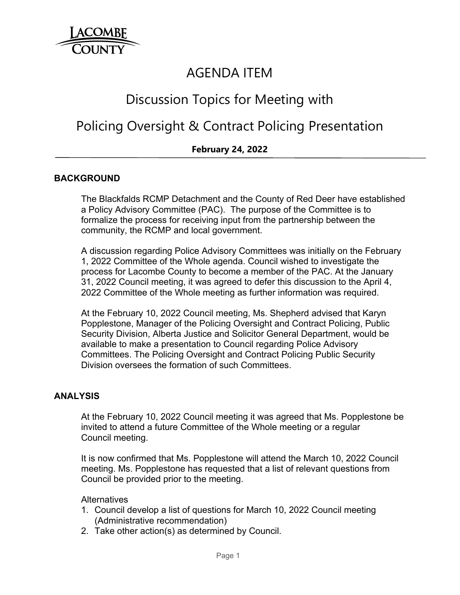

## AGENDA ITEM

# Discussion Topics for Meeting with

## Policing Oversight & Contract Policing Presentation

## **February 24, 2022**

#### **BACKGROUND**

The Blackfalds RCMP Detachment and the County of Red Deer have established a Policy Advisory Committee (PAC). The purpose of the Committee is to formalize the process for receiving input from the partnership between the community, the RCMP and local government.

A discussion regarding Police Advisory Committees was initially on the February 1, 2022 Committee of the Whole agenda. Council wished to investigate the process for Lacombe County to become a member of the PAC. At the January 31, 2022 Council meeting, it was agreed to defer this discussion to the April 4, 2022 Committee of the Whole meeting as further information was required.

At the February 10, 2022 Council meeting, Ms. Shepherd advised that Karyn Popplestone, Manager of the Policing Oversight and Contract Policing, Public Security Division, Alberta Justice and Solicitor General Department, would be available to make a presentation to Council regarding Police Advisory Committees. The Policing Oversight and Contract Policing Public Security Division oversees the formation of such Committees.

#### **ANALYSIS**

 At the February 10, 2022 Council meeting it was agreed that Ms. Popplestone be invited to attend a future Committee of the Whole meeting or a regular Council meeting.

 It is now confirmed that Ms. Popplestone will attend the March 10, 2022 Council meeting. Ms. Popplestone has requested that a list of relevant questions from Council be provided prior to the meeting.

**Alternatives** 

- 1. Council develop a list of questions for March 10, 2022 Council meeting (Administrative recommendation)
- 2. Take other action(s) as determined by Council.